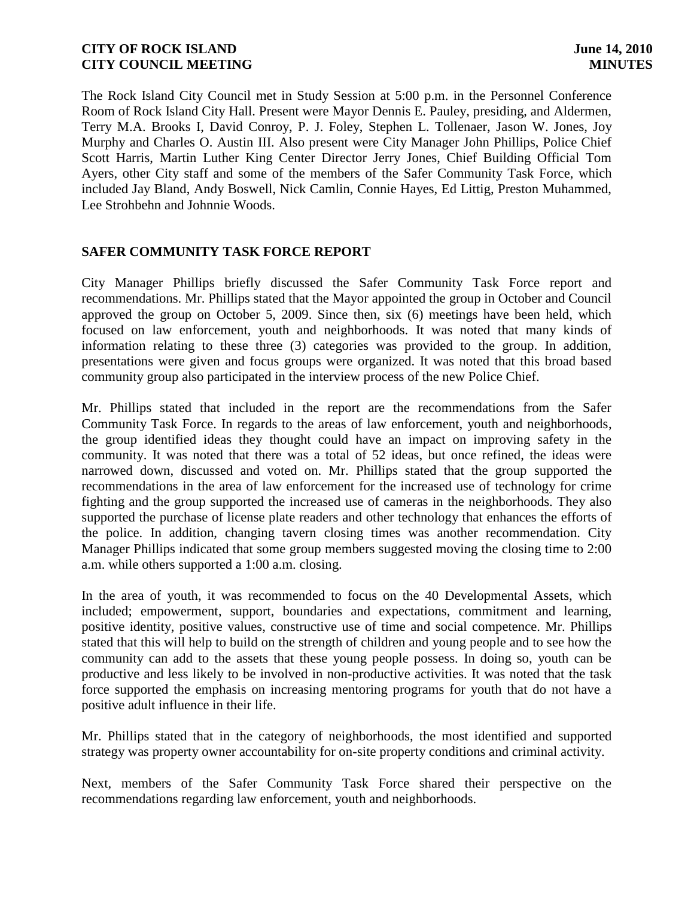The Rock Island City Council met in Study Session at 5:00 p.m. in the Personnel Conference Room of Rock Island City Hall. Present were Mayor Dennis E. Pauley, presiding, and Aldermen, Terry M.A. Brooks I, David Conroy, P. J. Foley, Stephen L. Tollenaer, Jason W. Jones, Joy Murphy and Charles O. Austin III. Also present were City Manager John Phillips, Police Chief Scott Harris, Martin Luther King Center Director Jerry Jones, Chief Building Official Tom Ayers, other City staff and some of the members of the Safer Community Task Force, which included Jay Bland, Andy Boswell, Nick Camlin, Connie Hayes, Ed Littig, Preston Muhammed, Lee Strohbehn and Johnnie Woods.

# **SAFER COMMUNITY TASK FORCE REPORT**

City Manager Phillips briefly discussed the Safer Community Task Force report and recommendations. Mr. Phillips stated that the Mayor appointed the group in October and Council approved the group on October 5, 2009. Since then, six (6) meetings have been held, which focused on law enforcement, youth and neighborhoods. It was noted that many kinds of information relating to these three (3) categories was provided to the group. In addition, presentations were given and focus groups were organized. It was noted that this broad based community group also participated in the interview process of the new Police Chief.

Mr. Phillips stated that included in the report are the recommendations from the Safer Community Task Force. In regards to the areas of law enforcement, youth and neighborhoods, the group identified ideas they thought could have an impact on improving safety in the community. It was noted that there was a total of 52 ideas, but once refined, the ideas were narrowed down, discussed and voted on. Mr. Phillips stated that the group supported the recommendations in the area of law enforcement for the increased use of technology for crime fighting and the group supported the increased use of cameras in the neighborhoods. They also supported the purchase of license plate readers and other technology that enhances the efforts of the police. In addition, changing tavern closing times was another recommendation. City Manager Phillips indicated that some group members suggested moving the closing time to 2:00 a.m. while others supported a 1:00 a.m. closing.

In the area of youth, it was recommended to focus on the 40 Developmental Assets, which included; empowerment, support, boundaries and expectations, commitment and learning, positive identity, positive values, constructive use of time and social competence. Mr. Phillips stated that this will help to build on the strength of children and young people and to see how the community can add to the assets that these young people possess. In doing so, youth can be productive and less likely to be involved in non-productive activities. It was noted that the task force supported the emphasis on increasing mentoring programs for youth that do not have a positive adult influence in their life.

Mr. Phillips stated that in the category of neighborhoods, the most identified and supported strategy was property owner accountability for on-site property conditions and criminal activity.

Next, members of the Safer Community Task Force shared their perspective on the recommendations regarding law enforcement, youth and neighborhoods.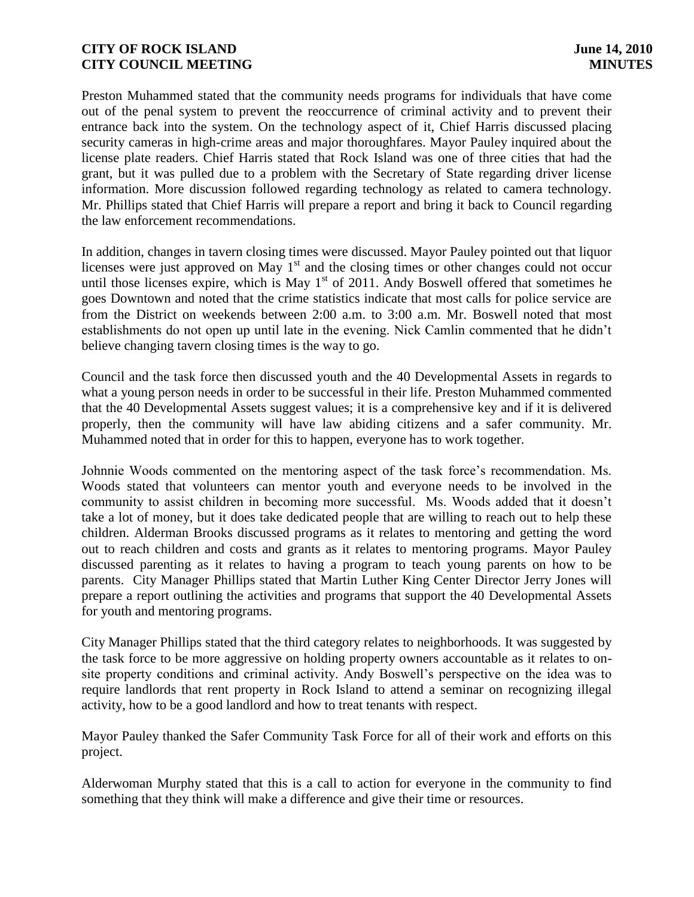Preston Muhammed stated that the community needs programs for individuals that have come out of the penal system to prevent the reoccurrence of criminal activity and to prevent their entrance back into the system. On the technology aspect of it, Chief Harris discussed placing security cameras in high-crime areas and major thoroughfares. Mayor Pauley inquired about the license plate readers. Chief Harris stated that Rock Island was one of three cities that had the grant, but it was pulled due to a problem with the Secretary of State regarding driver license information. More discussion followed regarding technology as related to camera technology. Mr. Phillips stated that Chief Harris will prepare a report and bring it back to Council regarding the law enforcement recommendations.

In addition, changes in tavern closing times were discussed. Mayor Pauley pointed out that liquor licenses were just approved on May  $1<sup>st</sup>$  and the closing times or other changes could not occur until those licenses expire, which is May  $1<sup>st</sup>$  of 2011. Andy Boswell offered that sometimes he goes Downtown and noted that the crime statistics indicate that most calls for police service are from the District on weekends between 2:00 a.m. to 3:00 a.m. Mr. Boswell noted that most establishments do not open up until late in the evening. Nick Camlin commented that he didn't believe changing tavern closing times is the way to go.

Council and the task force then discussed youth and the 40 Developmental Assets in regards to what a young person needs in order to be successful in their life. Preston Muhammed commented that the 40 Developmental Assets suggest values; it is a comprehensive key and if it is delivered properly, then the community will have law abiding citizens and a safer community. Mr. Muhammed noted that in order for this to happen, everyone has to work together.

Johnnie Woods commented on the mentoring aspect of the task force's recommendation. Ms. Woods stated that volunteers can mentor youth and everyone needs to be involved in the community to assist children in becoming more successful. Ms. Woods added that it doesn't take a lot of money, but it does take dedicated people that are willing to reach out to help these children. Alderman Brooks discussed programs as it relates to mentoring and getting the word out to reach children and costs and grants as it relates to mentoring programs. Mayor Pauley discussed parenting as it relates to having a program to teach young parents on how to be parents. City Manager Phillips stated that Martin Luther King Center Director Jerry Jones will prepare a report outlining the activities and programs that support the 40 Developmental Assets for youth and mentoring programs.

City Manager Phillips stated that the third category relates to neighborhoods. It was suggested by the task force to be more aggressive on holding property owners accountable as it relates to onsite property conditions and criminal activity. Andy Boswell's perspective on the idea was to require landlords that rent property in Rock Island to attend a seminar on recognizing illegal activity, how to be a good landlord and how to treat tenants with respect.

Mayor Pauley thanked the Safer Community Task Force for all of their work and efforts on this project.

Alderwoman Murphy stated that this is a call to action for everyone in the community to find something that they think will make a difference and give their time or resources.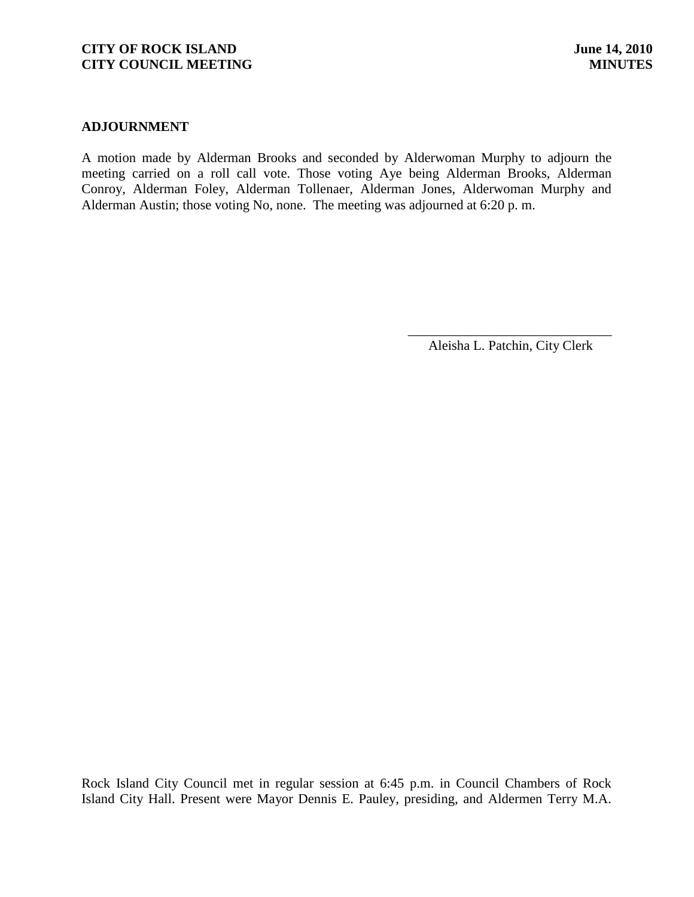### **ADJOURNMENT**

A motion made by Alderman Brooks and seconded by Alderwoman Murphy to adjourn the meeting carried on a roll call vote. Those voting Aye being Alderman Brooks, Alderman Conroy, Alderman Foley, Alderman Tollenaer, Alderman Jones, Alderwoman Murphy and Alderman Austin; those voting No, none. The meeting was adjourned at 6:20 p. m.

> \_\_\_\_\_\_\_\_\_\_\_\_\_\_\_\_\_\_\_\_\_\_\_\_\_\_\_\_\_\_ Aleisha L. Patchin, City Clerk

Rock Island City Council met in regular session at 6:45 p.m. in Council Chambers of Rock Island City Hall. Present were Mayor Dennis E. Pauley, presiding, and Aldermen Terry M.A.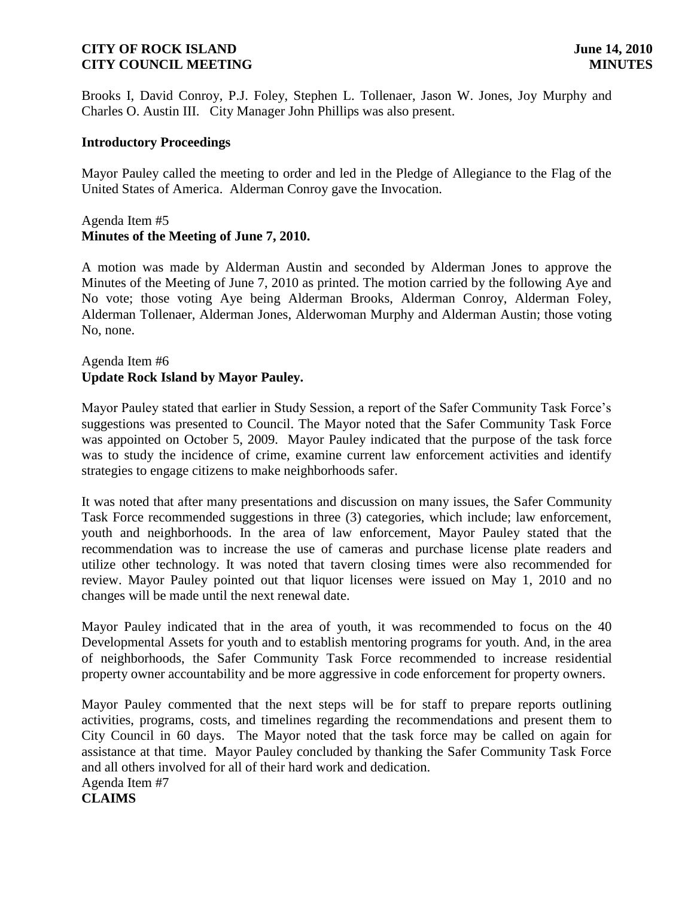Brooks I, David Conroy, P.J. Foley, Stephen L. Tollenaer, Jason W. Jones, Joy Murphy and Charles O. Austin III. City Manager John Phillips was also present.

### **Introductory Proceedings**

Mayor Pauley called the meeting to order and led in the Pledge of Allegiance to the Flag of the United States of America. Alderman Conroy gave the Invocation.

# Agenda Item #5 **Minutes of the Meeting of June 7, 2010.**

A motion was made by Alderman Austin and seconded by Alderman Jones to approve the Minutes of the Meeting of June 7, 2010 as printed. The motion carried by the following Aye and No vote; those voting Aye being Alderman Brooks, Alderman Conroy, Alderman Foley, Alderman Tollenaer, Alderman Jones, Alderwoman Murphy and Alderman Austin; those voting No, none.

# Agenda Item #6 **Update Rock Island by Mayor Pauley.**

Mayor Pauley stated that earlier in Study Session, a report of the Safer Community Task Force's suggestions was presented to Council. The Mayor noted that the Safer Community Task Force was appointed on October 5, 2009. Mayor Pauley indicated that the purpose of the task force was to study the incidence of crime, examine current law enforcement activities and identify strategies to engage citizens to make neighborhoods safer.

It was noted that after many presentations and discussion on many issues, the Safer Community Task Force recommended suggestions in three (3) categories, which include; law enforcement, youth and neighborhoods. In the area of law enforcement, Mayor Pauley stated that the recommendation was to increase the use of cameras and purchase license plate readers and utilize other technology. It was noted that tavern closing times were also recommended for review. Mayor Pauley pointed out that liquor licenses were issued on May 1, 2010 and no changes will be made until the next renewal date.

Mayor Pauley indicated that in the area of youth, it was recommended to focus on the 40 Developmental Assets for youth and to establish mentoring programs for youth. And, in the area of neighborhoods, the Safer Community Task Force recommended to increase residential property owner accountability and be more aggressive in code enforcement for property owners.

Mayor Pauley commented that the next steps will be for staff to prepare reports outlining activities, programs, costs, and timelines regarding the recommendations and present them to City Council in 60 days. The Mayor noted that the task force may be called on again for assistance at that time. Mayor Pauley concluded by thanking the Safer Community Task Force and all others involved for all of their hard work and dedication. Agenda Item #7

**CLAIMS**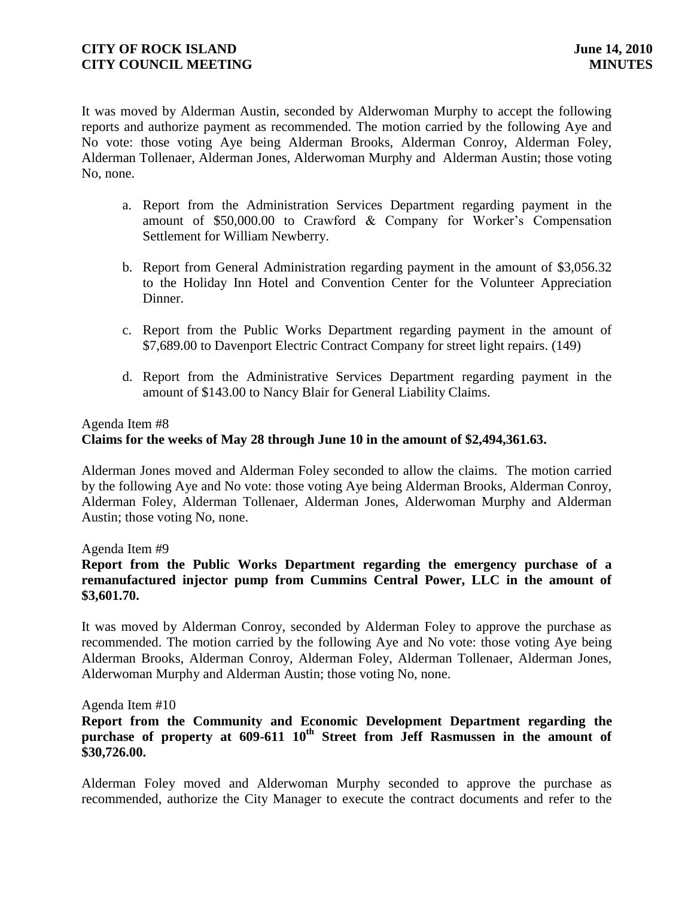It was moved by Alderman Austin, seconded by Alderwoman Murphy to accept the following reports and authorize payment as recommended. The motion carried by the following Aye and No vote: those voting Aye being Alderman Brooks, Alderman Conroy, Alderman Foley, Alderman Tollenaer, Alderman Jones, Alderwoman Murphy and Alderman Austin; those voting No, none.

- a. Report from the Administration Services Department regarding payment in the amount of \$50,000.00 to Crawford & Company for Worker's Compensation Settlement for William Newberry.
- b. Report from General Administration regarding payment in the amount of \$3,056.32 to the Holiday Inn Hotel and Convention Center for the Volunteer Appreciation Dinner.
- c. Report from the Public Works Department regarding payment in the amount of \$7,689.00 to Davenport Electric Contract Company for street light repairs. (149)
- d. Report from the Administrative Services Department regarding payment in the amount of \$143.00 to Nancy Blair for General Liability Claims.

## Agenda Item #8

# **Claims for the weeks of May 28 through June 10 in the amount of \$2,494,361.63.**

Alderman Jones moved and Alderman Foley seconded to allow the claims. The motion carried by the following Aye and No vote: those voting Aye being Alderman Brooks, Alderman Conroy, Alderman Foley, Alderman Tollenaer, Alderman Jones, Alderwoman Murphy and Alderman Austin; those voting No, none.

Agenda Item #9

# **Report from the Public Works Department regarding the emergency purchase of a remanufactured injector pump from Cummins Central Power, LLC in the amount of \$3,601.70.**

It was moved by Alderman Conroy, seconded by Alderman Foley to approve the purchase as recommended. The motion carried by the following Aye and No vote: those voting Aye being Alderman Brooks, Alderman Conroy, Alderman Foley, Alderman Tollenaer, Alderman Jones, Alderwoman Murphy and Alderman Austin; those voting No, none.

## Agenda Item #10

# **Report from the Community and Economic Development Department regarding the**  purchase of property at 609-611 10<sup>th</sup> Street from Jeff Rasmussen in the amount of **\$30,726.00.**

Alderman Foley moved and Alderwoman Murphy seconded to approve the purchase as recommended, authorize the City Manager to execute the contract documents and refer to the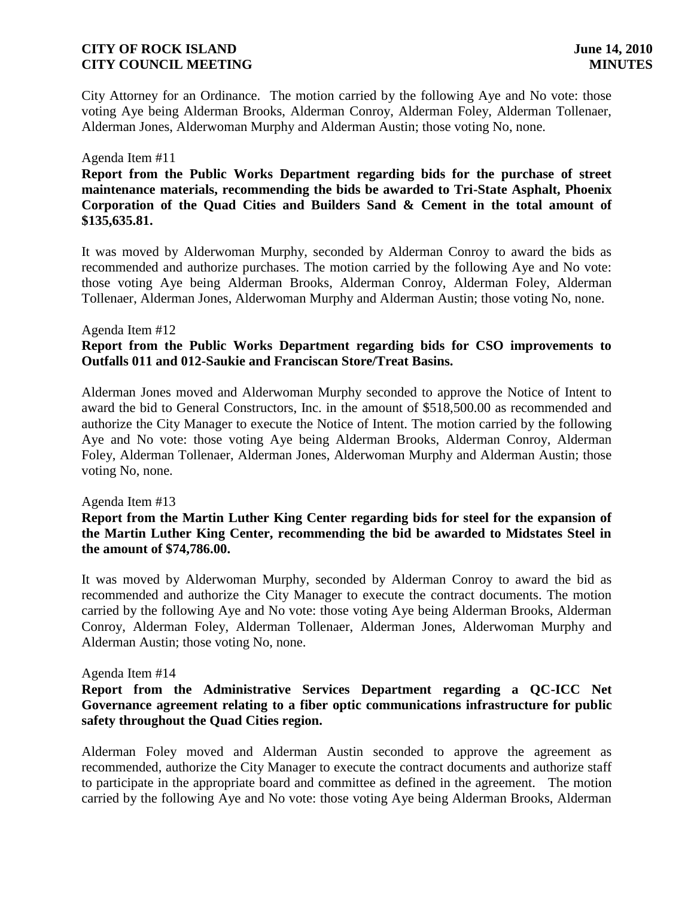City Attorney for an Ordinance. The motion carried by the following Aye and No vote: those voting Aye being Alderman Brooks, Alderman Conroy, Alderman Foley, Alderman Tollenaer, Alderman Jones, Alderwoman Murphy and Alderman Austin; those voting No, none.

### Agenda Item #11

**Report from the Public Works Department regarding bids for the purchase of street maintenance materials, recommending the bids be awarded to Tri-State Asphalt, Phoenix Corporation of the Quad Cities and Builders Sand & Cement in the total amount of \$135,635.81.**

It was moved by Alderwoman Murphy, seconded by Alderman Conroy to award the bids as recommended and authorize purchases. The motion carried by the following Aye and No vote: those voting Aye being Alderman Brooks, Alderman Conroy, Alderman Foley, Alderman Tollenaer, Alderman Jones, Alderwoman Murphy and Alderman Austin; those voting No, none.

### Agenda Item #12

# **Report from the Public Works Department regarding bids for CSO improvements to Outfalls 011 and 012-Saukie and Franciscan Store/Treat Basins.**

Alderman Jones moved and Alderwoman Murphy seconded to approve the Notice of Intent to award the bid to General Constructors, Inc. in the amount of \$518,500.00 as recommended and authorize the City Manager to execute the Notice of Intent. The motion carried by the following Aye and No vote: those voting Aye being Alderman Brooks, Alderman Conroy, Alderman Foley, Alderman Tollenaer, Alderman Jones, Alderwoman Murphy and Alderman Austin; those voting No, none.

### Agenda Item #13

## **Report from the Martin Luther King Center regarding bids for steel for the expansion of the Martin Luther King Center, recommending the bid be awarded to Midstates Steel in the amount of \$74,786.00.**

It was moved by Alderwoman Murphy, seconded by Alderman Conroy to award the bid as recommended and authorize the City Manager to execute the contract documents. The motion carried by the following Aye and No vote: those voting Aye being Alderman Brooks, Alderman Conroy, Alderman Foley, Alderman Tollenaer, Alderman Jones, Alderwoman Murphy and Alderman Austin; those voting No, none.

### Agenda Item #14

## **Report from the Administrative Services Department regarding a QC-ICC Net Governance agreement relating to a fiber optic communications infrastructure for public safety throughout the Quad Cities region.**

Alderman Foley moved and Alderman Austin seconded to approve the agreement as recommended, authorize the City Manager to execute the contract documents and authorize staff to participate in the appropriate board and committee as defined in the agreement. The motion carried by the following Aye and No vote: those voting Aye being Alderman Brooks, Alderman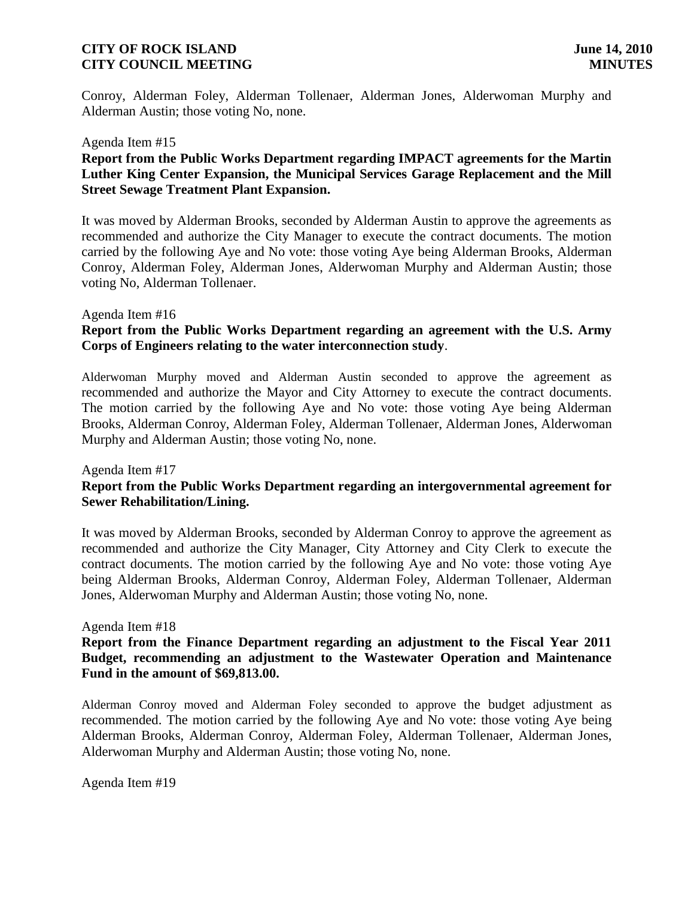Conroy, Alderman Foley, Alderman Tollenaer, Alderman Jones, Alderwoman Murphy and Alderman Austin; those voting No, none.

### Agenda Item #15

## **Report from the Public Works Department regarding IMPACT agreements for the Martin Luther King Center Expansion, the Municipal Services Garage Replacement and the Mill Street Sewage Treatment Plant Expansion.**

It was moved by Alderman Brooks, seconded by Alderman Austin to approve the agreements as recommended and authorize the City Manager to execute the contract documents. The motion carried by the following Aye and No vote: those voting Aye being Alderman Brooks, Alderman Conroy, Alderman Foley, Alderman Jones, Alderwoman Murphy and Alderman Austin; those voting No, Alderman Tollenaer.

### Agenda Item #16

## **Report from the Public Works Department regarding an agreement with the U.S. Army Corps of Engineers relating to the water interconnection study**.

Alderwoman Murphy moved and Alderman Austin seconded to approve the agreement as recommended and authorize the Mayor and City Attorney to execute the contract documents. The motion carried by the following Aye and No vote: those voting Aye being Alderman Brooks, Alderman Conroy, Alderman Foley, Alderman Tollenaer, Alderman Jones, Alderwoman Murphy and Alderman Austin; those voting No, none.

### Agenda Item #17

# **Report from the Public Works Department regarding an intergovernmental agreement for Sewer Rehabilitation/Lining.**

It was moved by Alderman Brooks, seconded by Alderman Conroy to approve the agreement as recommended and authorize the City Manager, City Attorney and City Clerk to execute the contract documents. The motion carried by the following Aye and No vote: those voting Aye being Alderman Brooks, Alderman Conroy, Alderman Foley, Alderman Tollenaer, Alderman Jones, Alderwoman Murphy and Alderman Austin; those voting No, none.

### Agenda Item #18

## **Report from the Finance Department regarding an adjustment to the Fiscal Year 2011 Budget, recommending an adjustment to the Wastewater Operation and Maintenance Fund in the amount of \$69,813.00.**

Alderman Conroy moved and Alderman Foley seconded to approve the budget adjustment as recommended. The motion carried by the following Aye and No vote: those voting Aye being Alderman Brooks, Alderman Conroy, Alderman Foley, Alderman Tollenaer, Alderman Jones, Alderwoman Murphy and Alderman Austin; those voting No, none.

Agenda Item #19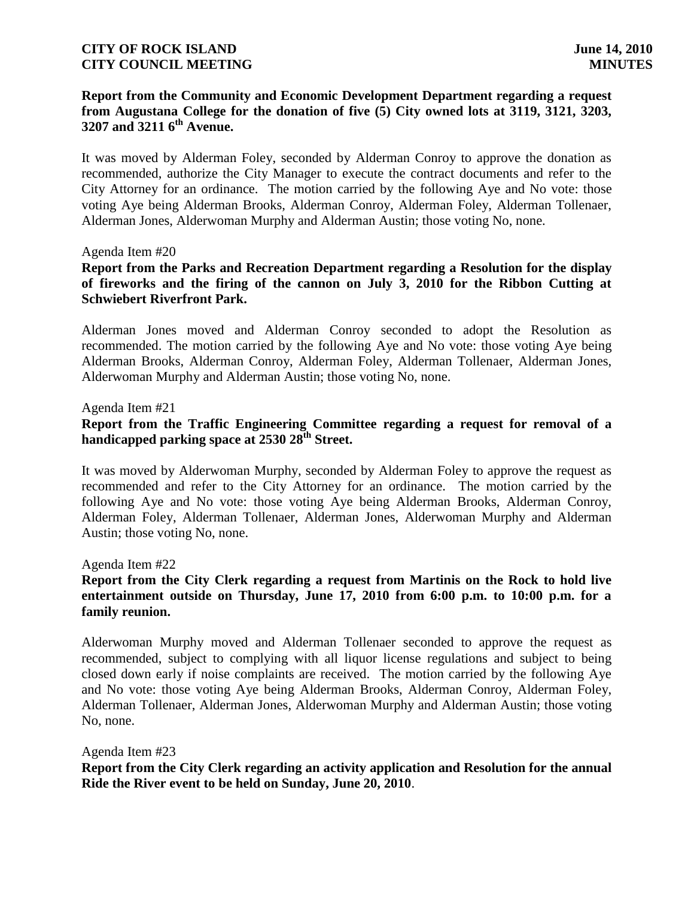# **Report from the Community and Economic Development Department regarding a request from Augustana College for the donation of five (5) City owned lots at 3119, 3121, 3203, 3207 and 3211 6th Avenue.**

It was moved by Alderman Foley, seconded by Alderman Conroy to approve the donation as recommended, authorize the City Manager to execute the contract documents and refer to the City Attorney for an ordinance. The motion carried by the following Aye and No vote: those voting Aye being Alderman Brooks, Alderman Conroy, Alderman Foley, Alderman Tollenaer, Alderman Jones, Alderwoman Murphy and Alderman Austin; those voting No, none.

### Agenda Item #20

# **Report from the Parks and Recreation Department regarding a Resolution for the display of fireworks and the firing of the cannon on July 3, 2010 for the Ribbon Cutting at Schwiebert Riverfront Park.**

Alderman Jones moved and Alderman Conroy seconded to adopt the Resolution as recommended. The motion carried by the following Aye and No vote: those voting Aye being Alderman Brooks, Alderman Conroy, Alderman Foley, Alderman Tollenaer, Alderman Jones, Alderwoman Murphy and Alderman Austin; those voting No, none.

### Agenda Item #21

# **Report from the Traffic Engineering Committee regarding a request for removal of a handicapped parking space at 2530 28th Street.**

It was moved by Alderwoman Murphy, seconded by Alderman Foley to approve the request as recommended and refer to the City Attorney for an ordinance. The motion carried by the following Aye and No vote: those voting Aye being Alderman Brooks, Alderman Conroy, Alderman Foley, Alderman Tollenaer, Alderman Jones, Alderwoman Murphy and Alderman Austin; those voting No, none.

### Agenda Item #22

## **Report from the City Clerk regarding a request from Martinis on the Rock to hold live entertainment outside on Thursday, June 17, 2010 from 6:00 p.m. to 10:00 p.m. for a family reunion.**

Alderwoman Murphy moved and Alderman Tollenaer seconded to approve the request as recommended, subject to complying with all liquor license regulations and subject to being closed down early if noise complaints are received. The motion carried by the following Aye and No vote: those voting Aye being Alderman Brooks, Alderman Conroy, Alderman Foley, Alderman Tollenaer, Alderman Jones, Alderwoman Murphy and Alderman Austin; those voting No, none.

#### Agenda Item #23

**Report from the City Clerk regarding an activity application and Resolution for the annual Ride the River event to be held on Sunday, June 20, 2010**.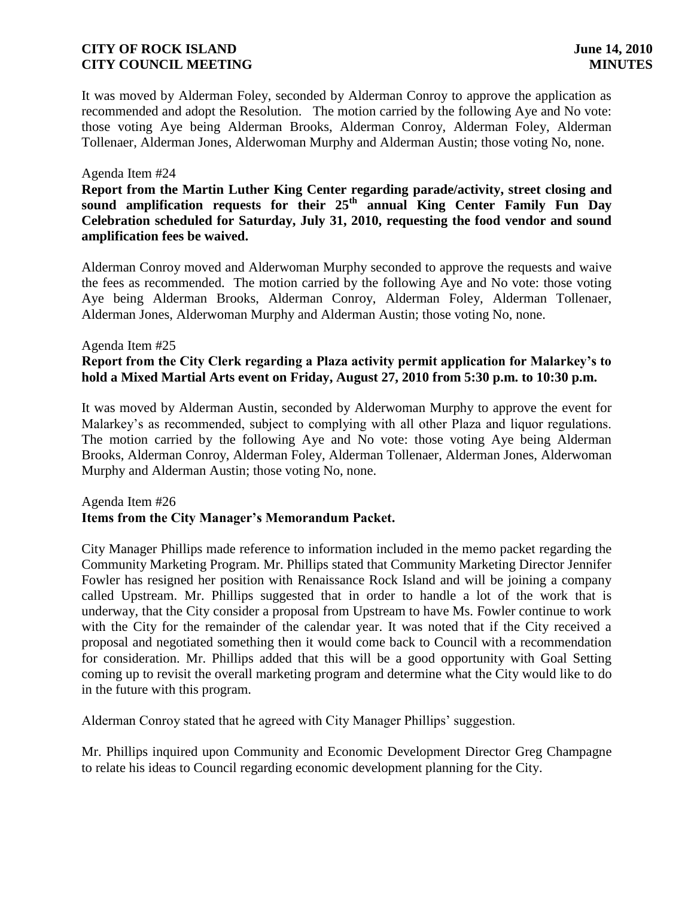It was moved by Alderman Foley, seconded by Alderman Conroy to approve the application as recommended and adopt the Resolution. The motion carried by the following Aye and No vote: those voting Aye being Alderman Brooks, Alderman Conroy, Alderman Foley, Alderman Tollenaer, Alderman Jones, Alderwoman Murphy and Alderman Austin; those voting No, none.

### Agenda Item #24

**Report from the Martin Luther King Center regarding parade/activity, street closing and sound amplification requests for their 25th annual King Center Family Fun Day Celebration scheduled for Saturday, July 31, 2010, requesting the food vendor and sound amplification fees be waived.**

Alderman Conroy moved and Alderwoman Murphy seconded to approve the requests and waive the fees as recommended. The motion carried by the following Aye and No vote: those voting Aye being Alderman Brooks, Alderman Conroy, Alderman Foley, Alderman Tollenaer, Alderman Jones, Alderwoman Murphy and Alderman Austin; those voting No, none.

### Agenda Item #25 **Report from the City Clerk regarding a Plaza activity permit application for Malarkey's to hold a Mixed Martial Arts event on Friday, August 27, 2010 from 5:30 p.m. to 10:30 p.m.**

It was moved by Alderman Austin, seconded by Alderwoman Murphy to approve the event for Malarkey's as recommended, subject to complying with all other Plaza and liquor regulations. The motion carried by the following Aye and No vote: those voting Aye being Alderman Brooks, Alderman Conroy, Alderman Foley, Alderman Tollenaer, Alderman Jones, Alderwoman Murphy and Alderman Austin; those voting No, none.

## Agenda Item #26 **Items from the City Manager's Memorandum Packet.**

City Manager Phillips made reference to information included in the memo packet regarding the Community Marketing Program. Mr. Phillips stated that Community Marketing Director Jennifer Fowler has resigned her position with Renaissance Rock Island and will be joining a company called Upstream. Mr. Phillips suggested that in order to handle a lot of the work that is underway, that the City consider a proposal from Upstream to have Ms. Fowler continue to work with the City for the remainder of the calendar year. It was noted that if the City received a proposal and negotiated something then it would come back to Council with a recommendation for consideration. Mr. Phillips added that this will be a good opportunity with Goal Setting coming up to revisit the overall marketing program and determine what the City would like to do in the future with this program.

Alderman Conroy stated that he agreed with City Manager Phillips' suggestion.

Mr. Phillips inquired upon Community and Economic Development Director Greg Champagne to relate his ideas to Council regarding economic development planning for the City.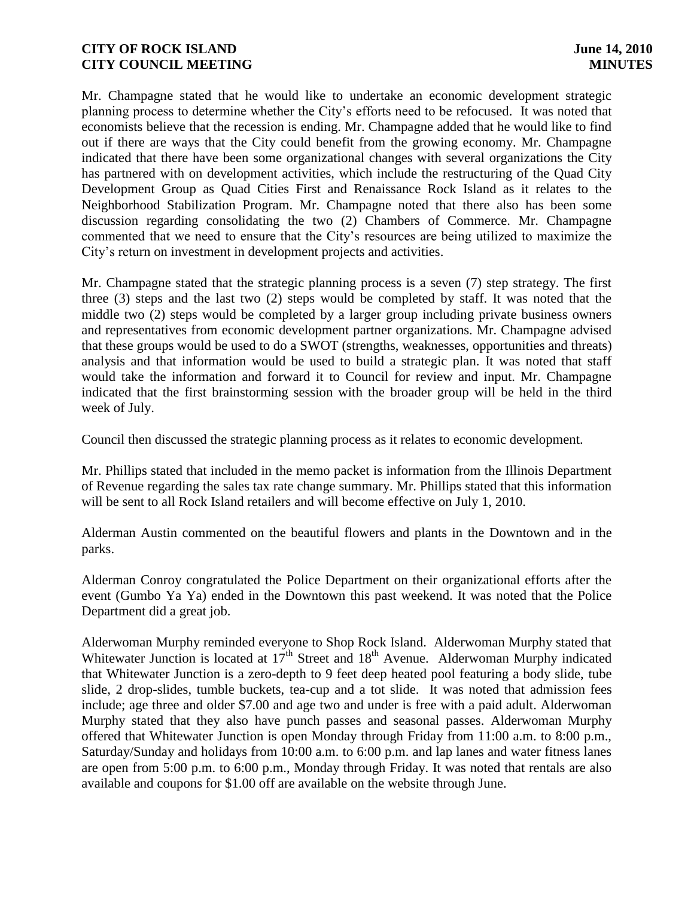Mr. Champagne stated that he would like to undertake an economic development strategic planning process to determine whether the City's efforts need to be refocused. It was noted that economists believe that the recession is ending. Mr. Champagne added that he would like to find out if there are ways that the City could benefit from the growing economy. Mr. Champagne indicated that there have been some organizational changes with several organizations the City has partnered with on development activities, which include the restructuring of the Quad City Development Group as Quad Cities First and Renaissance Rock Island as it relates to the Neighborhood Stabilization Program. Mr. Champagne noted that there also has been some discussion regarding consolidating the two (2) Chambers of Commerce. Mr. Champagne commented that we need to ensure that the City's resources are being utilized to maximize the City's return on investment in development projects and activities.

Mr. Champagne stated that the strategic planning process is a seven (7) step strategy. The first three (3) steps and the last two (2) steps would be completed by staff. It was noted that the middle two (2) steps would be completed by a larger group including private business owners and representatives from economic development partner organizations. Mr. Champagne advised that these groups would be used to do a SWOT (strengths, weaknesses, opportunities and threats) analysis and that information would be used to build a strategic plan. It was noted that staff would take the information and forward it to Council for review and input. Mr. Champagne indicated that the first brainstorming session with the broader group will be held in the third week of July.

Council then discussed the strategic planning process as it relates to economic development.

Mr. Phillips stated that included in the memo packet is information from the Illinois Department of Revenue regarding the sales tax rate change summary. Mr. Phillips stated that this information will be sent to all Rock Island retailers and will become effective on July 1, 2010.

Alderman Austin commented on the beautiful flowers and plants in the Downtown and in the parks.

Alderman Conroy congratulated the Police Department on their organizational efforts after the event (Gumbo Ya Ya) ended in the Downtown this past weekend. It was noted that the Police Department did a great job.

Alderwoman Murphy reminded everyone to Shop Rock Island. Alderwoman Murphy stated that Whitewater Junction is located at  $17<sup>th</sup>$  Street and  $18<sup>th</sup>$  Avenue. Alderwoman Murphy indicated that Whitewater Junction is a zero-depth to 9 feet deep heated pool featuring a body slide, tube slide, 2 drop-slides, tumble buckets, tea-cup and a tot slide. It was noted that admission fees include; age three and older \$7.00 and age two and under is free with a paid adult. Alderwoman Murphy stated that they also have punch passes and seasonal passes. Alderwoman Murphy offered that Whitewater Junction is open Monday through Friday from 11:00 a.m. to 8:00 p.m., Saturday/Sunday and holidays from 10:00 a.m. to 6:00 p.m. and lap lanes and water fitness lanes are open from 5:00 p.m. to 6:00 p.m., Monday through Friday. It was noted that rentals are also available and coupons for \$1.00 off are available on the website through June.